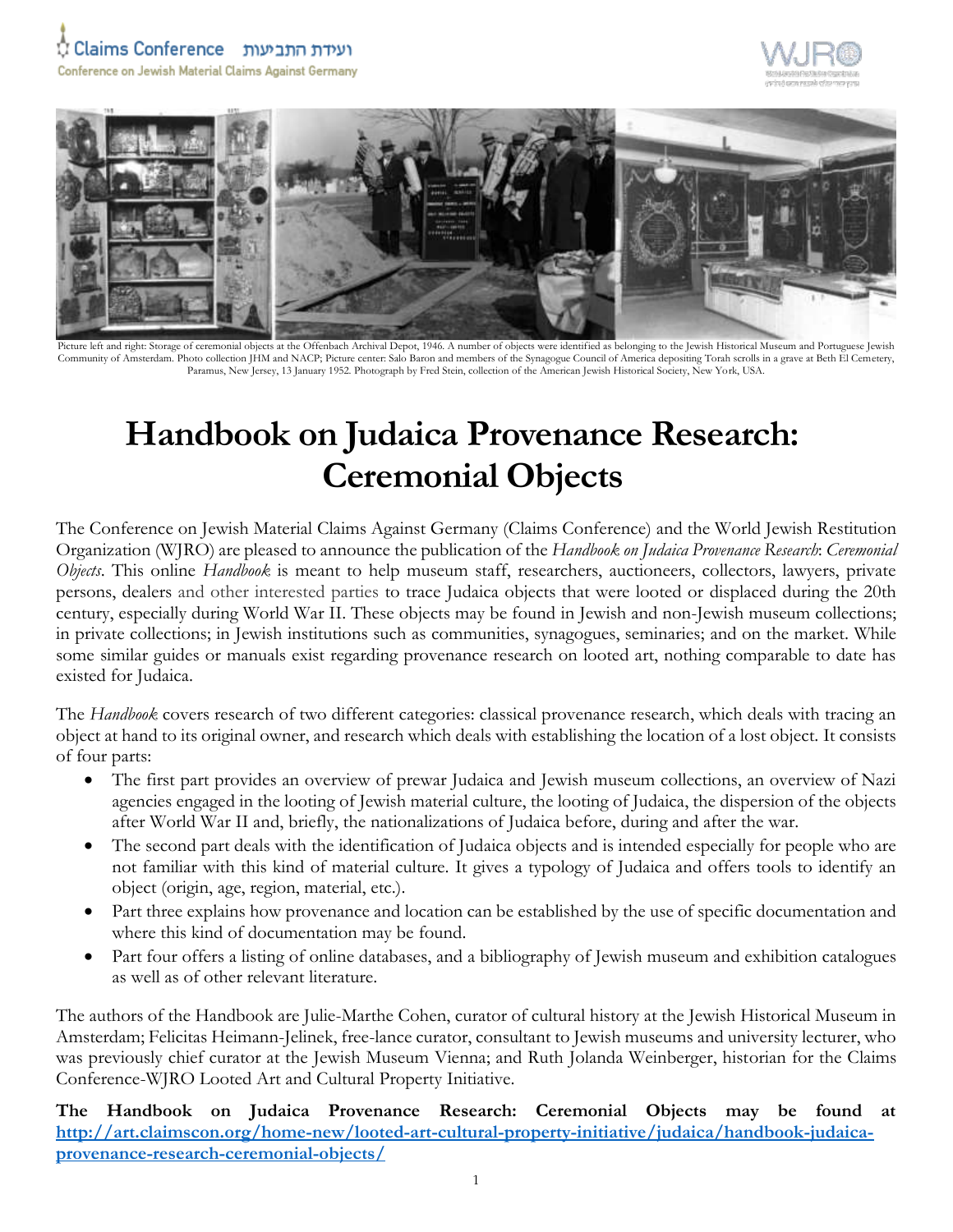## ועידת התביעות Claims Conference







Picture left and right: Storage of ceremonial objects at the Offenbach Archival Depot, 1946. A number of objects were identified as belonging to the Jewish Historical Museum and Portuguese Jewish Community of Amsterdam. Photo collection JHM and NACP; Picture center: Salo Baron and members of the Synagogue Council of America depositing Torah scrolls in a grave at Beth El Cemetery, Paramus, New Jersey, 13 January 1952. Photograph by Fred Stein, collection of the American Jewish Historical Society, New York, USA.

## **Handbook on Judaica Provenance Research: Ceremonial Objects**

The Conference on Jewish Material Claims Against Germany (Claims Conference) and the World Jewish Restitution Organization (WJRO) are pleased to announce the publication of the *Handbook on Judaica Provenance Research*: *Ceremonial Objects*. This online *Handbook* is meant to help museum staff, researchers, auctioneers, collectors, lawyers, private persons, dealers and other interested parties to trace Judaica objects that were looted or displaced during the 20th century, especially during World War II. These objects may be found in Jewish and non-Jewish museum collections; in private collections; in Jewish institutions such as communities, synagogues, seminaries; and on the market. While some similar guides or manuals exist regarding provenance research on looted art, nothing comparable to date has existed for Judaica.

The *Handbook* covers research of two different categories: classical provenance research, which deals with tracing an object at hand to its original owner, and research which deals with establishing the location of a lost object. It consists of four parts:

- The first part provides an overview of prewar Judaica and Jewish museum collections, an overview of Nazi agencies engaged in the looting of Jewish material culture, the looting of Judaica, the dispersion of the objects after World War II and, briefly, the nationalizations of Judaica before, during and after the war.
- The second part deals with the identification of Judaica objects and is intended especially for people who are not familiar with this kind of material culture. It gives a typology of Judaica and offers tools to identify an object (origin, age, region, material, etc.).
- Part three explains how provenance and location can be established by the use of specific documentation and where this kind of documentation may be found.
- Part four offers a listing of online databases, and a bibliography of Jewish museum and exhibition catalogues as well as of other relevant literature.

The authors of the Handbook are Julie-Marthe Cohen, curator of cultural history at the Jewish Historical Museum in Amsterdam; Felicitas Heimann-Jelinek, free-lance curator, consultant to Jewish museums and university lecturer, who was previously chief curator at the Jewish Museum Vienna; and Ruth Jolanda Weinberger, historian for the Claims Conference-WJRO Looted Art and Cultural Property Initiative.

**The Handbook on Judaica Provenance Research: Ceremonial Objects may be found at [http://art.claimscon.org/home-new/looted-art-cultural-property-initiative/judaica/handbook-judaica](http://art.claimscon.org/home-new/looted-art-cultural-property-initiative/judaica/handbook-judaica-provenance-research-ceremonial-objects/)[provenance-research-ceremonial-objects/](http://art.claimscon.org/home-new/looted-art-cultural-property-initiative/judaica/handbook-judaica-provenance-research-ceremonial-objects/)**